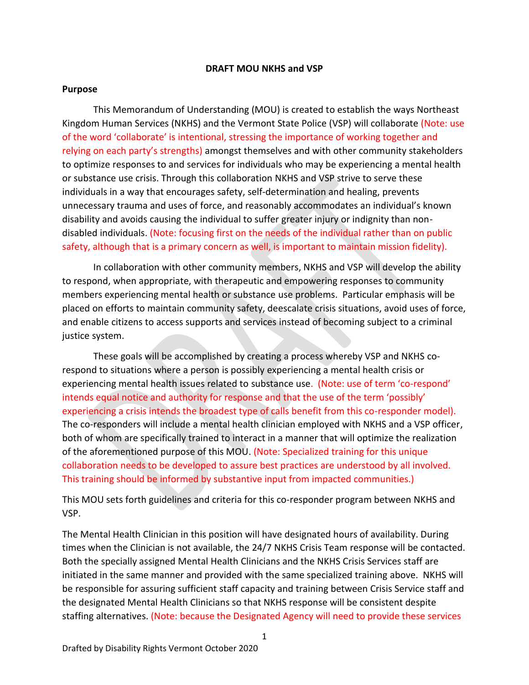### **DRAFT MOU NKHS and VSP**

### **Purpose**

This Memorandum of Understanding (MOU) is created to establish the ways Northeast Kingdom Human Services (NKHS) and the Vermont State Police (VSP) will collaborate (Note: use of the word 'collaborate' is intentional, stressing the importance of working together and relying on each party's strengths) amongst themselves and with other community stakeholders to optimize responses to and services for individuals who may be experiencing a mental health or substance use crisis. Through this collaboration NKHS and VSP strive to serve these individuals in a way that encourages safety, self-determination and healing, prevents unnecessary trauma and uses of force, and reasonably accommodates an individual's known disability and avoids causing the individual to suffer greater injury or indignity than nondisabled individuals. (Note: focusing first on the needs of the individual rather than on public safety, although that is a primary concern as well, is important to maintain mission fidelity).

In collaboration with other community members, NKHS and VSP will develop the ability to respond, when appropriate, with therapeutic and empowering responses to community members experiencing mental health or substance use problems. Particular emphasis will be placed on efforts to maintain community safety, deescalate crisis situations, avoid uses of force, and enable citizens to access supports and services instead of becoming subject to a criminal justice system.

These goals will be accomplished by creating a process whereby VSP and NKHS corespond to situations where a person is possibly experiencing a mental health crisis or experiencing mental health issues related to substance use. (Note: use of term 'co-respond' intends equal notice and authority for response and that the use of the term 'possibly' experiencing a crisis intends the broadest type of calls benefit from this co-responder model). The co-responders will include a mental health clinician employed with NKHS and a VSP officer, both of whom are specifically trained to interact in a manner that will optimize the realization of the aforementioned purpose of this MOU. (Note: Specialized training for this unique collaboration needs to be developed to assure best practices are understood by all involved. This training should be informed by substantive input from impacted communities.)

This MOU sets forth guidelines and criteria for this co-responder program between NKHS and VSP.

The Mental Health Clinician in this position will have designated hours of availability. During times when the Clinician is not available, the 24/7 NKHS Crisis Team response will be contacted. Both the specially assigned Mental Health Clinicians and the NKHS Crisis Services staff are initiated in the same manner and provided with the same specialized training above. NKHS will be responsible for assuring sufficient staff capacity and training between Crisis Service staff and the designated Mental Health Clinicians so that NKHS response will be consistent despite staffing alternatives. (Note: because the Designated Agency will need to provide these services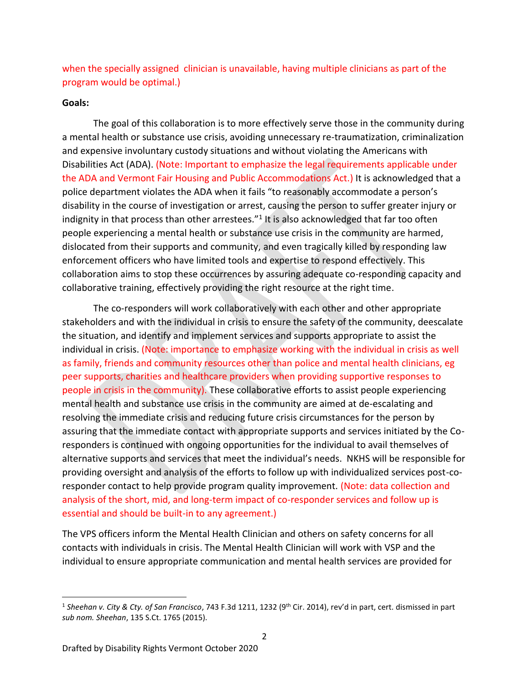when the specially assigned clinician is unavailable, having multiple clinicians as part of the program would be optimal.)

### **Goals:**

The goal of this collaboration is to more effectively serve those in the community during a mental health or substance use crisis, avoiding unnecessary re-traumatization, criminalization and expensive involuntary custody situations and without violating the Americans with Disabilities Act (ADA). (Note: Important to emphasize the legal requirements applicable under the ADA and Vermont Fair Housing and Public Accommodations Act.) It is acknowledged that a police department violates the ADA when it fails "to reasonably accommodate a person's disability in the course of investigation or arrest, causing the person to suffer greater injury or indignity in that process than other arrestees. $^{\prime\prime}1$  It is also acknowledged that far too often people experiencing a mental health or substance use crisis in the community are harmed, dislocated from their supports and community, and even tragically killed by responding law enforcement officers who have limited tools and expertise to respond effectively. This collaboration aims to stop these occurrences by assuring adequate co-responding capacity and collaborative training, effectively providing the right resource at the right time.

The co-responders will work collaboratively with each other and other appropriate stakeholders and with the individual in crisis to ensure the safety of the community, deescalate the situation, and identify and implement services and supports appropriate to assist the individual in crisis. (Note: importance to emphasize working with the individual in crisis as well as family, friends and community resources other than police and mental health clinicians, eg peer supports, charities and healthcare providers when providing supportive responses to people in crisis in the community). These collaborative efforts to assist people experiencing mental health and substance use crisis in the community are aimed at de-escalating and resolving the immediate crisis and reducing future crisis circumstances for the person by assuring that the immediate contact with appropriate supports and services initiated by the Coresponders is continued with ongoing opportunities for the individual to avail themselves of alternative supports and services that meet the individual's needs. NKHS will be responsible for providing oversight and analysis of the efforts to follow up with individualized services post-coresponder contact to help provide program quality improvement. (Note: data collection and analysis of the short, mid, and long-term impact of co-responder services and follow up is essential and should be built-in to any agreement.)

The VPS officers inform the Mental Health Clinician and others on safety concerns for all contacts with individuals in crisis. The Mental Health Clinician will work with VSP and the individual to ensure appropriate communication and mental health services are provided for

l

<sup>&</sup>lt;sup>1</sup> Sheehan v. City & Cty. of San Francisco, 743 F.3d 1211, 1232 (9<sup>th</sup> Cir. 2014), rev'd in part, cert. dismissed in part *sub nom. Sheehan*, 135 S.Ct. 1765 (2015).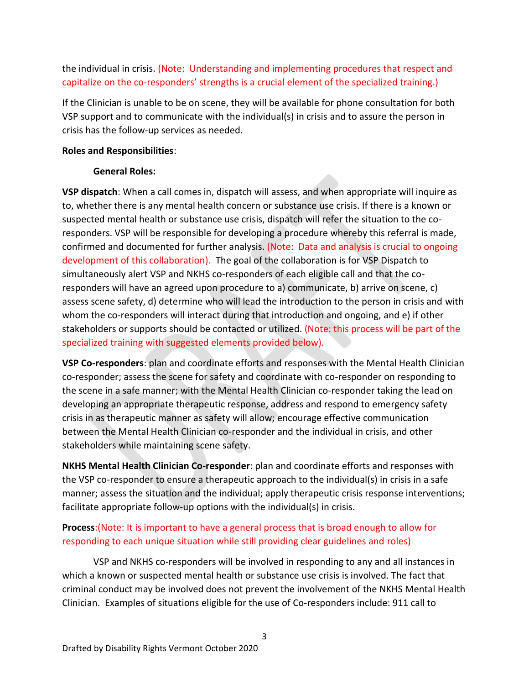the individual in crisis. (Note: Understanding and implementing procedures that respect and capitalize on the co-responders' strengths is a crucial element of the specialized training.)

If the Clinician is unable to be on scene, they will be available for phone consultation for both VSP support and to communicate with the individual(s) in crisis and to assure the person in crisis has the follow-up services as needed.

## **Roles and Responsibilities**:

# **General Roles:**

**VSP dispatch**: When a call comes in, dispatch will assess, and when appropriate will inquire as to, whether there is any mental health concern or substance use crisis. If there is a known or suspected mental health or substance use crisis, dispatch will refer the situation to the coresponders. VSP will be responsible for developing a procedure whereby this referral is made, confirmed and documented for further analysis. (Note: Data and analysis is crucial to ongoing development of this collaboration). The goal of the collaboration is for VSP Dispatch to simultaneously alert VSP and NKHS co-responders of each eligible call and that the coresponders will have an agreed upon procedure to a) communicate, b) arrive on scene, c) assess scene safety, d) determine who will lead the introduction to the person in crisis and with whom the co-responders will interact during that introduction and ongoing, and e) if other stakeholders or supports should be contacted or utilized. (Note: this process will be part of the specialized training with suggested elements provided below).

**VSP Co-responders**: plan and coordinate efforts and responses with the Mental Health Clinician co-responder; assess the scene for safety and coordinate with co-responder on responding to the scene in a safe manner; with the Mental Health Clinician co-responder taking the lead on developing an appropriate therapeutic response, address and respond to emergency safety crisis in as therapeutic manner as safety will allow; encourage effective communication between the Mental Health Clinician co-responder and the individual in crisis, and other stakeholders while maintaining scene safety.

**NKHS Mental Health Clinician Co-responder**: plan and coordinate efforts and responses with the VSP co-responder to ensure a therapeutic approach to the individual(s) in crisis in a safe manner; assess the situation and the individual; apply therapeutic crisis response interventions; facilitate appropriate follow-up options with the individual(s) in crisis.

# **Process**:(Note: It is important to have a general process that is broad enough to allow for responding to each unique situation while still providing clear guidelines and roles)

VSP and NKHS co-responders will be involved in responding to any and all instances in which a known or suspected mental health or substance use crisis is involved. The fact that criminal conduct may be involved does not prevent the involvement of the NKHS Mental Health Clinician. Examples of situations eligible for the use of Co-responders include: 911 call to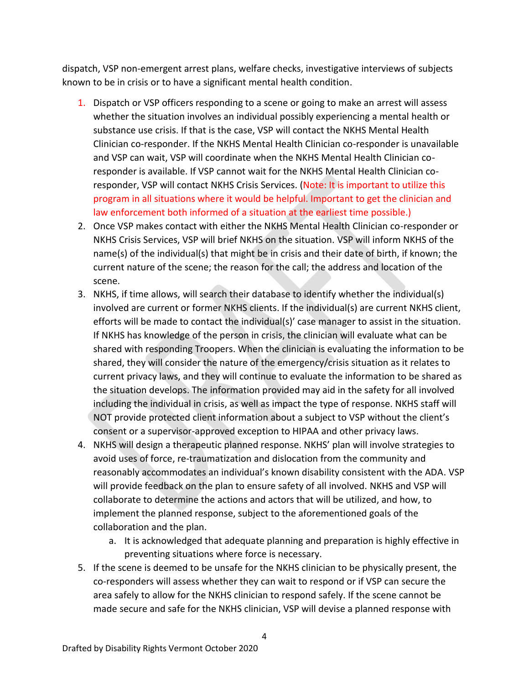dispatch, VSP non-emergent arrest plans, welfare checks, investigative interviews of subjects known to be in crisis or to have a significant mental health condition.

- 1. Dispatch or VSP officers responding to a scene or going to make an arrest will assess whether the situation involves an individual possibly experiencing a mental health or substance use crisis. If that is the case, VSP will contact the NKHS Mental Health Clinician co-responder. If the NKHS Mental Health Clinician co-responder is unavailable and VSP can wait, VSP will coordinate when the NKHS Mental Health Clinician coresponder is available. If VSP cannot wait for the NKHS Mental Health Clinician coresponder, VSP will contact NKHS Crisis Services. (Note: It is important to utilize this program in all situations where it would be helpful. Important to get the clinician and law enforcement both informed of a situation at the earliest time possible.)
- 2. Once VSP makes contact with either the NKHS Mental Health Clinician co-responder or NKHS Crisis Services, VSP will brief NKHS on the situation. VSP will inform NKHS of the name(s) of the individual(s) that might be in crisis and their date of birth, if known; the current nature of the scene; the reason for the call; the address and location of the scene.
- 3. NKHS, if time allows, will search their database to identify whether the individual(s) involved are current or former NKHS clients. If the individual(s) are current NKHS client, efforts will be made to contact the individual(s)' case manager to assist in the situation. If NKHS has knowledge of the person in crisis, the clinician will evaluate what can be shared with responding Troopers. When the clinician is evaluating the information to be shared, they will consider the nature of the emergency/crisis situation as it relates to current privacy laws, and they will continue to evaluate the information to be shared as the situation develops. The information provided may aid in the safety for all involved including the individual in crisis, as well as impact the type of response. NKHS staff will NOT provide protected client information about a subject to VSP without the client's consent or a supervisor-approved exception to HIPAA and other privacy laws.
- 4. NKHS will design a therapeutic planned response. NKHS' plan will involve strategies to avoid uses of force, re-traumatization and dislocation from the community and reasonably accommodates an individual's known disability consistent with the ADA. VSP will provide feedback on the plan to ensure safety of all involved. NKHS and VSP will collaborate to determine the actions and actors that will be utilized, and how, to implement the planned response, subject to the aforementioned goals of the collaboration and the plan.
	- a. It is acknowledged that adequate planning and preparation is highly effective in preventing situations where force is necessary.
- 5. If the scene is deemed to be unsafe for the NKHS clinician to be physically present, the co-responders will assess whether they can wait to respond or if VSP can secure the area safely to allow for the NKHS clinician to respond safely. If the scene cannot be made secure and safe for the NKHS clinician, VSP will devise a planned response with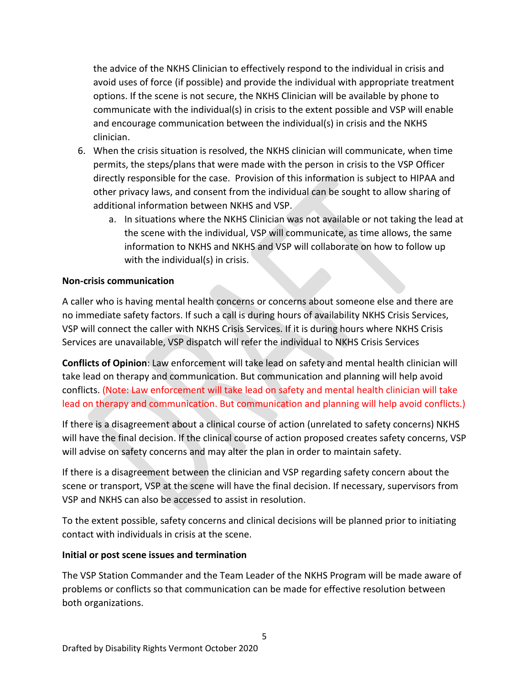the advice of the NKHS Clinician to effectively respond to the individual in crisis and avoid uses of force (if possible) and provide the individual with appropriate treatment options. If the scene is not secure, the NKHS Clinician will be available by phone to communicate with the individual(s) in crisis to the extent possible and VSP will enable and encourage communication between the individual(s) in crisis and the NKHS clinician.

- 6. When the crisis situation is resolved, the NKHS clinician will communicate, when time permits, the steps/plans that were made with the person in crisis to the VSP Officer directly responsible for the case. Provision of this information is subject to HIPAA and other privacy laws, and consent from the individual can be sought to allow sharing of additional information between NKHS and VSP.
	- a. In situations where the NKHS Clinician was not available or not taking the lead at the scene with the individual, VSP will communicate, as time allows, the same information to NKHS and NKHS and VSP will collaborate on how to follow up with the individual(s) in crisis.

## **Non-crisis communication**

A caller who is having mental health concerns or concerns about someone else and there are no immediate safety factors. If such a call is during hours of availability NKHS Crisis Services, VSP will connect the caller with NKHS Crisis Services. If it is during hours where NKHS Crisis Services are unavailable, VSP dispatch will refer the individual to NKHS Crisis Services

**Conflicts of Opinion**: Law enforcement will take lead on safety and mental health clinician will take lead on therapy and communication. But communication and planning will help avoid conflicts. (Note: Law enforcement will take lead on safety and mental health clinician will take lead on therapy and communication. But communication and planning will help avoid conflicts.)

If there is a disagreement about a clinical course of action (unrelated to safety concerns) NKHS will have the final decision. If the clinical course of action proposed creates safety concerns, VSP will advise on safety concerns and may alter the plan in order to maintain safety.

If there is a disagreement between the clinician and VSP regarding safety concern about the scene or transport, VSP at the scene will have the final decision. If necessary, supervisors from VSP and NKHS can also be accessed to assist in resolution.

To the extent possible, safety concerns and clinical decisions will be planned prior to initiating contact with individuals in crisis at the scene.

### **Initial or post scene issues and termination**

The VSP Station Commander and the Team Leader of the NKHS Program will be made aware of problems or conflicts so that communication can be made for effective resolution between both organizations.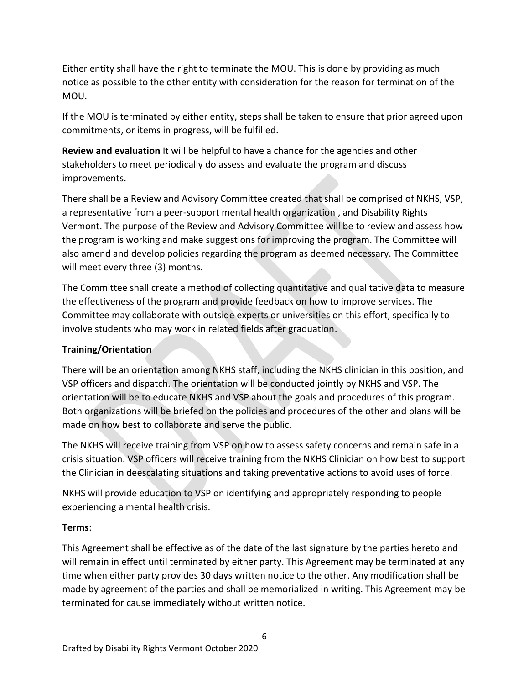Either entity shall have the right to terminate the MOU. This is done by providing as much notice as possible to the other entity with consideration for the reason for termination of the MOU.

If the MOU is terminated by either entity, steps shall be taken to ensure that prior agreed upon commitments, or items in progress, will be fulfilled.

**Review and evaluation** It will be helpful to have a chance for the agencies and other stakeholders to meet periodically do assess and evaluate the program and discuss improvements.

There shall be a Review and Advisory Committee created that shall be comprised of NKHS, VSP, a representative from a peer-support mental health organization , and Disability Rights Vermont. The purpose of the Review and Advisory Committee will be to review and assess how the program is working and make suggestions for improving the program. The Committee will also amend and develop policies regarding the program as deemed necessary. The Committee will meet every three (3) months.

The Committee shall create a method of collecting quantitative and qualitative data to measure the effectiveness of the program and provide feedback on how to improve services. The Committee may collaborate with outside experts or universities on this effort, specifically to involve students who may work in related fields after graduation.

## **Training/Orientation**

There will be an orientation among NKHS staff, including the NKHS clinician in this position, and VSP officers and dispatch. The orientation will be conducted jointly by NKHS and VSP. The orientation will be to educate NKHS and VSP about the goals and procedures of this program. Both organizations will be briefed on the policies and procedures of the other and plans will be made on how best to collaborate and serve the public.

The NKHS will receive training from VSP on how to assess safety concerns and remain safe in a crisis situation. VSP officers will receive training from the NKHS Clinician on how best to support the Clinician in deescalating situations and taking preventative actions to avoid uses of force.

NKHS will provide education to VSP on identifying and appropriately responding to people experiencing a mental health crisis.

## **Terms**:

This Agreement shall be effective as of the date of the last signature by the parties hereto and will remain in effect until terminated by either party. This Agreement may be terminated at any time when either party provides 30 days written notice to the other. Any modification shall be made by agreement of the parties and shall be memorialized in writing. This Agreement may be terminated for cause immediately without written notice.